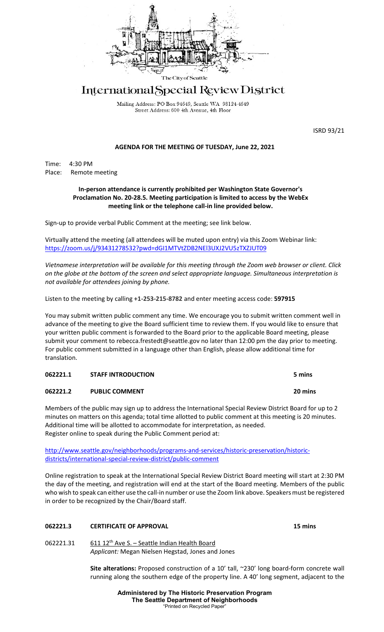

# International Special Review District

Mailing Address: PO Box 94649, Seattle WA 98124-4649 Street Address: 600 4th Avenue, 4th Floor

ISRD 93/21

# **AGENDA FOR THE MEETING OF TUESDAY, June 22, 2021**

Time: 4:30 PM Place: Remote meeting

## **In-person attendance is currently prohibited per Washington State Governor's Proclamation No. 20-28.5. Meeting participation is limited to access by the WebEx meeting link or the telephone call-in line provided below.**

Sign-up to provide verbal Public Comment at the meeting; see link below.

Virtually attend the meeting (all attendees will be muted upon entry) via this Zoom Webinar link[:](https://seattle.webex.com/seattle/onstage/g.php?MTID=e48eba745e34c9cdd513dc357fd908a83) [https://zoom.us/j/93431278532?pwd=dGI1MTVtZDB2NEl3UXJ2VU5zTXZJUT09](https://seattle.webex.com/seattle/onstage/g.php?MTID=e48eba745e34c9cdd513dc357fd908a83)

*Vietnamese interpretation will be available for this meeting through the Zoom web browser or client. Click on the globe at the bottom of the screen and select appropriate language. Simultaneous interpretation is not available for attendees joining by phone.*

Listen to the meeting by calling **+1-253-215-8782** and enter meeting access code: **597915**

You may submit written public comment any time. We encourage you to submit written comment well in advance of the meeting to give the Board sufficient time to review them. If you would like to ensure that your written public comment is forwarded to the Board prior to the applicable Board meeting, please submit your comment to rebecca.frestedt@seattle.gov no later than 12:00 pm the day prior to meeting. For public comment submitted in a language other than English, please allow additional time for translation.

| 062221.1 | <b>STAFF INTRODUCTION</b> | 5 mins  |
|----------|---------------------------|---------|
| 062221.2 | <b>PUBLIC COMMENT</b>     | 20 mins |

Members of the public may sign up to address the International Special Review District Board for up to 2 minutes on matters on this agenda; total time allotted to public comment at this meeting is 20 minutes. Additional time will be allotted to accommodate for interpretation, as needed. Register online to speak during the Public Comment period at:

[http://www.seattle.gov/neighborhoods/programs-and-services/historic-preservation/historic](http://www.seattle.gov/neighborhoods/programs-and-services/historic-preservation/historic-districts/international-special-review-district/public-comment)[districts/international-special-review-district/public-comment](http://www.seattle.gov/neighborhoods/programs-and-services/historic-preservation/historic-districts/international-special-review-district/public-comment)

Online registration to speak at the International Special Review District Board meeting will start at 2:30 PM the day of the meeting, and registration will end at the start of the Board meeting. Members of the public who wish to speak can either use the call-in number or use the Zoom link above. Speakers must be registered in order to be recognized by the Chair/Board staff.

# **062221.3 CERTIFICATE OF APPROVAL 15 mins**

062221.31 611 12<sup>th</sup> Ave S. - Seattle Indian Health Board *Applicant:* Megan Nielsen Hegstad, Jones and Jones

> **Site alterations:** Proposed construction of a 10' tall, ~230' long board-form concrete wall running along the southern edge of the property line. A 40' long segment, adjacent to the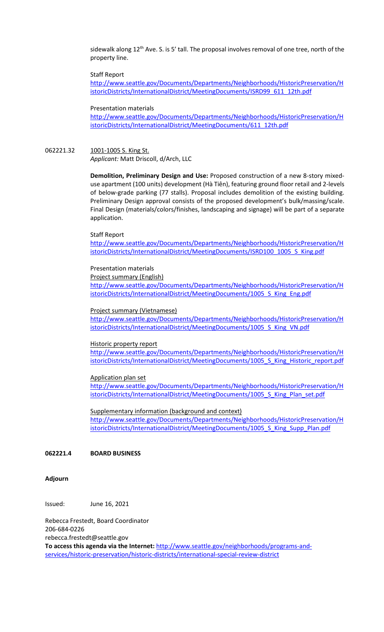sidewalk along  $12<sup>th</sup>$  Ave. S. is 5' tall. The proposal involves removal of one tree, north of the property line.

### Staff Report

[http://www.seattle.gov/Documents/Departments/Neighborhoods/HistoricPreservation/H](http://www.seattle.gov/Documents/Departments/Neighborhoods/HistoricPreservation/HistoricDistricts/InternationalDistrict/MeetingDocuments/ISRD99_611_12th.pdf) [istoricDistricts/InternationalDistrict/MeetingDocuments/ISRD99\\_611\\_12th.pdf](http://www.seattle.gov/Documents/Departments/Neighborhoods/HistoricPreservation/HistoricDistricts/InternationalDistrict/MeetingDocuments/ISRD99_611_12th.pdf)

#### Presentation materials

[http://www.seattle.gov/Documents/Departments/Neighborhoods/HistoricPreservation/H](http://www.seattle.gov/Documents/Departments/Neighborhoods/HistoricPreservation/HistoricDistricts/InternationalDistrict/MeetingDocuments/611_12th.pdf) [istoricDistricts/InternationalDistrict/MeetingDocuments/611\\_12th.pdf](http://www.seattle.gov/Documents/Departments/Neighborhoods/HistoricPreservation/HistoricDistricts/InternationalDistrict/MeetingDocuments/611_12th.pdf)

### 062221.32 1001-1005 S. King St.

*Applicant:* Matt Driscoll, d/Arch, LLC

**Demolition, Preliminary Design and Use:** Proposed construction of a new 8-story mixeduse apartment (100 units) development (Hà Tiên), featuring ground floor retail and 2-levels of below-grade parking (77 stalls). Proposal includes demolition of the existing building. Preliminary Design approval consists of the proposed development's bulk/massing/scale. Final Design (materials/colors/finishes, landscaping and signage) will be part of a separate application.

#### Staff Report

[http://www.seattle.gov/Documents/Departments/Neighborhoods/HistoricPreservation/H](http://www.seattle.gov/Documents/Departments/Neighborhoods/HistoricPreservation/HistoricDistricts/InternationalDistrict/MeetingDocuments/ISRD100_1005_S_King.pdf) [istoricDistricts/InternationalDistrict/MeetingDocuments/ISRD100\\_1005\\_S\\_King.pdf](http://www.seattle.gov/Documents/Departments/Neighborhoods/HistoricPreservation/HistoricDistricts/InternationalDistrict/MeetingDocuments/ISRD100_1005_S_King.pdf)

## Presentation materials

Project summary (English)

[http://www.seattle.gov/Documents/Departments/Neighborhoods/HistoricPreservation/H](http://www.seattle.gov/Documents/Departments/Neighborhoods/HistoricPreservation/HistoricDistricts/InternationalDistrict/MeetingDocuments/1005_S_King_Eng.pdf) [istoricDistricts/InternationalDistrict/MeetingDocuments/1005\\_S\\_King\\_Eng.pdf](http://www.seattle.gov/Documents/Departments/Neighborhoods/HistoricPreservation/HistoricDistricts/InternationalDistrict/MeetingDocuments/1005_S_King_Eng.pdf)

#### Project summary (Vietnamese)

[http://www.seattle.gov/Documents/Departments/Neighborhoods/HistoricPreservation/H](http://www.seattle.gov/Documents/Departments/Neighborhoods/HistoricPreservation/HistoricDistricts/InternationalDistrict/MeetingDocuments/1005_S_King_VN.pdf) [istoricDistricts/InternationalDistrict/MeetingDocuments/1005\\_S\\_King\\_VN.pdf](http://www.seattle.gov/Documents/Departments/Neighborhoods/HistoricPreservation/HistoricDistricts/InternationalDistrict/MeetingDocuments/1005_S_King_VN.pdf)

#### Historic property report

[http://www.seattle.gov/Documents/Departments/Neighborhoods/HistoricPreservation/H](http://www.seattle.gov/Documents/Departments/Neighborhoods/HistoricPreservation/HistoricDistricts/InternationalDistrict/MeetingDocuments/1005_S_King_Historic_report.pdf) [istoricDistricts/InternationalDistrict/MeetingDocuments/1005\\_S\\_King\\_Historic\\_report.pdf](http://www.seattle.gov/Documents/Departments/Neighborhoods/HistoricPreservation/HistoricDistricts/InternationalDistrict/MeetingDocuments/1005_S_King_Historic_report.pdf)

#### [Application plan set](http://www.seattle.gov/Documents/Departments/Neighborhoods/HistoricPreservation/HistoricDistricts/InternationalDistrict/MeetingDocuments/KODA_gallery.pdf)

[http://www.seattle.gov/Documents/Departments/Neighborhoods/HistoricPreservation/H](http://www.seattle.gov/Documents/Departments/Neighborhoods/HistoricPreservation/HistoricDistricts/InternationalDistrict/MeetingDocuments/1005_S_King_Plan_set.pdf) [istoricDistricts/InternationalDistrict/MeetingDocuments/1005\\_S\\_King\\_Plan\\_set.pdf](http://www.seattle.gov/Documents/Departments/Neighborhoods/HistoricPreservation/HistoricDistricts/InternationalDistrict/MeetingDocuments/1005_S_King_Plan_set.pdf)

#### Supplementary information (background and context)

[http://www.seattle.gov/Documents/Departments/Neighborhoods/HistoricPreservation/H](http://www.seattle.gov/Documents/Departments/Neighborhoods/HistoricPreservation/HistoricDistricts/InternationalDistrict/MeetingDocuments/1005_S_King_Supp_Plan.pdf) [istoricDistricts/InternationalDistrict/MeetingDocuments/1005\\_S\\_King\\_Supp\\_Plan.pdf](http://www.seattle.gov/Documents/Departments/Neighborhoods/HistoricPreservation/HistoricDistricts/InternationalDistrict/MeetingDocuments/1005_S_King_Supp_Plan.pdf)

## **062221.4 BOARD BUSINESS**

#### **Adjourn**

Issued: June 16, 2021

Rebecca Frestedt, Board Coordinator 206-684-0226 rebecca.frestedt@seattle.gov **To access this agenda via the Internet:** [http://www.seattle.gov/neighborhoods/programs-and](http://www.seattle.gov/neighborhoods/programs-and-services/historic-preservation/historic-districts/international-special-review-district)[services/historic-preservation/historic-districts/international-special-review-district](http://www.seattle.gov/neighborhoods/programs-and-services/historic-preservation/historic-districts/international-special-review-district)